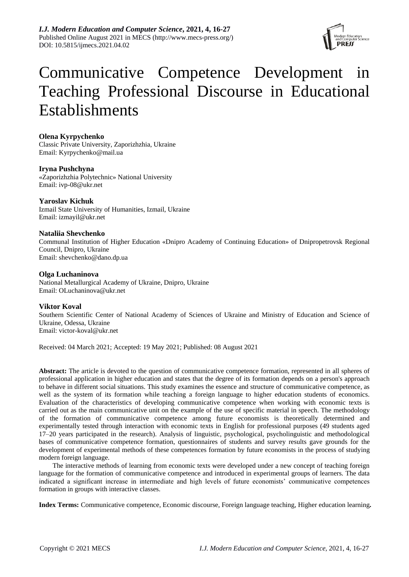

# Communicative Competence Development in Teaching Professional Discourse in Educational Establishments

# **Olena Kyrpychenko**

Classic Private University, Zaporizhzhia, Ukraine Email: [Kyrpychenko@mail.ua](mailto:Kyrpychenko@mail.ua)

## **Iryna Pushchyna**

«Zaporizhzhia Polytechnic» National University Email: ivp-08@ukr.net

# **[Yaroslav](https://www.scopus.com/inward/authorDetails.uri?authorID=57203787964&partnerID=5ESL7QZV&md5=6be5145220d318826b15e5c759866da4) Kichuk**

Izmail State University of Humanities, Izmail, Ukraine Email: izmayil@ukr.net

## **Nataliia Shevchenko**

Communal Institution of Higher Education «Dnipro Academy of Continuing Education» of Dnipropetrovsk Regional Council, Dnipro, Ukraine Email: shevchenko@dano.dp.ua

# **Olga Luchaninova**

National Metallurgical Academy of Ukraine, Dnipro, Ukraine Email: [OLuchaninova@ukr.net](mailto:OLuchaninova@ukr.net)

## **Viktor Koval**

Southern Scientific Center of National Academy of Sciences of Ukraine and Ministry of Education and Science of Ukraine, Odessa, Ukraine Email: victor-koval@ukr.net

Received: 04 March 2021; Accepted: 19 May 2021; Published: 08 August 2021

**Abstract:** The article is devoted to the question of communicative competence formation, represented in all spheres of professional application in higher education and states that the degree of its formation depends on a person's approach to behave in different social situations. This study examines the essence and structure of communicative competence, as well as the system of its formation while teaching a foreign language to higher education students of economics. Evaluation of the characteristics of developing communicative competence when working with economic texts is carried out as the main communicative unit on the example of the use of specific material in speech. The methodology of the formation of communicative competence among future economists is theoretically determined and experimentally tested through interaction with economic texts in English for professional purposes (49 students aged 17–20 years participated in the research). Analysis of linguistic, psychological, psycholinguistic and methodological bases of communicative competence formation, questionnaires of students and survey results gave grounds for the development of experimental methods of these competences formation by future economists in the process of studying modern foreign language.

The interactive methods of learning from economic texts were developed under a new concept of teaching foreign language for the formation of communicative competence and introduced in experimental groups of learners. The data indicated a significant increase in intermediate and high levels of future economists" communicative competences formation in groups with interactive classes.

**Index Terms:** Communicative competence, Economic discourse, Foreign language teaching, Higher education learning*.*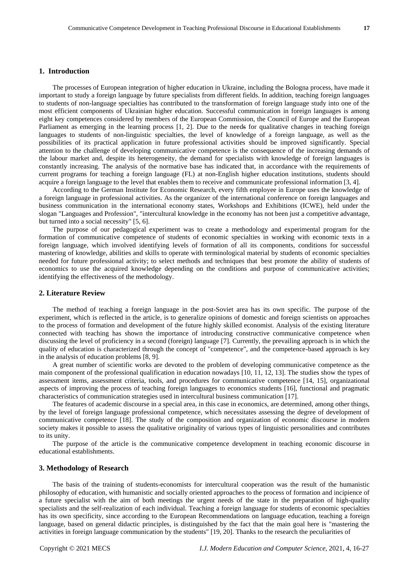## **1. Introduction**

The processes of European integration of higher education in Ukraine, including the Bologna process, have made it important to study a foreign language by future specialists from different fields. In addition, teaching foreign languages to students of non-language specialties has contributed to the transformation of foreign language study into one of the most efficient components of Ukrainian higher education. Successful communication in foreign languages is among eight key competences considered by members of the European Commission, the Council of Europe and the European Parliament as emerging in the learning process [1, 2]. Due to the needs for qualitative changes in teaching foreign languages to students of non-linguistic specialties, the level of knowledge of a foreign language, as well as the possibilities of its practical application in future professional activities should be improved significantly. Special attention to the challenge of developing communicative competence is the consequence of the increasing demands of the labour market and, despite its heterogeneity, the demand for specialists with knowledge of foreign languages is constantly increasing. The analysis of the normative base has indicated that, in accordance with the requirements of current programs for teaching a foreign language (FL) at non-English higher education institutions, students should acquire a foreign language to the level that enables them to receive and communicate professional information [3, 4].

According to the German Institute for Economic Research, every fifth employee in Europe uses the knowledge of a foreign language in professional activities. As the organizer of the international conference on foreign languages and business communication in the international economy states, Workshops and Exhibitions (ICWE), held under the slogan "Languages and Profession", "intercultural knowledge in the economy has not been just a competitive advantage, but turned into a social necessity" [5, 6].

The purpose of our pedagogical experiment was to create a methodology and experimental program for the formation of communicative competence of students of economic specialties in working with economic texts in a foreign language, which involved identifying levels of formation of all its components, conditions for successful mastering of knowledge, abilities and skills to operate with terminological material by students of economic specialties needed for future professional activity; to select methods and techniques that best promote the ability of students of economics to use the acquired knowledge depending on the conditions and purpose of communicative activities; identifying the effectiveness of the methodology.

#### **2. Literature Review**

The method of teaching a foreign language in the post-Soviet area has its own specific. The purpose of the experiment, which is reflected in the article, is to generalize opinions of domestic and foreign scientists on approaches to the process of formation and development of the future highly skilled economist. Analysis of the existing literature connected with teaching has shown the importance of introducing constructive communicative competence when discussing the level of proficiency in a second (foreign) language [7]. Currently, the prevailing approach is in which the quality of education is characterized through the concept of "competence", and the competence-based approach is key in the analysis of education problems [8, 9].

A great number of scientific works are devoted to the problem of developing communicative competence as the main component of the professional qualification in education nowadays [10, 11, 12, 13]. The studies show the types of assessment items, assessment criteria, tools, and procedures for communicative competence [14, 15], organizational aspects of improving the process of teaching foreign languages to economics students [16], functional and pragmatic characteristics of communication strategies used in intercultural business communication [17].

The features of academic discourse in a special area, in this case in economics, are determined, among other things, by the level of foreign language professional competence, which necessitates assessing the degree of development of communicative competence [18]. The study of the composition and organization of economic discourse in modern society makes it possible to assess the qualitative originality of various types of linguistic personalities and contributes to its unity.

The purpose of the article is the communicative competence development in teaching economic discourse in educational establishments.

#### **3. Methodology of Research**

The basis of the training of students-economists for intercultural cooperation was the result of the humanistic philosophy of education, with humanistic and socially oriented approaches to the process of formation and incipience of a future specialist with the aim of both meetings the urgent needs of the state in the preparation of high-quality specialists and the self-realization of each individual. Teaching a foreign language for students of economic specialties has its own specificity, since according to the European Recommendations on language education, teaching a foreign language, based on general didactic principles, is distinguished by the fact that the main goal here is "mastering the activities in foreign language communication by the students" [19, 20]. Thanks to the research the peculiarities of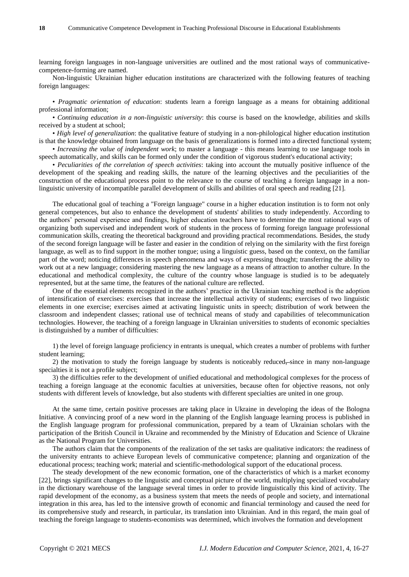learning foreign languages in non-language universities are outlined and the most rational ways of communicativecompetence-forming are named.

Non-linguistic Ukrainian higher education institutions are characterized with the following features of teaching foreign languages:

• *Pragmatic orientation of education*: students learn a foreign language as a means for obtaining additional professional information;

• *Continuing education in a non-linguistic university*: this course is based on the knowledge, abilities and skills received by a student at school;

• *High level of generalization*: the qualitative feature of studying in a non-philological higher education institution is that the knowledge obtained from language on the basis of generalizations is formed into a directed functional system;

• *Increasing the value of independent work*; to master a language - this means learning to use language tools in speech automatically, and skills can be formed only under the condition of vigorous student's educational activity;

• *Peculiarities of the correlation of speech activities*: taking into account the mutually positive influence of the development of the speaking and reading skills, the nature of the learning objectives and the peculiarities of the construction of the educational process point to the relevance to the course of teaching a foreign language in a nonlinguistic university of incompatible parallel development of skills and abilities of oral speech and reading [21].

The educational goal of teaching a "Foreign language" course in a higher education institution is to form not only general competences, but also to enhance the development of students' abilities to study independently. According to the authors" personal experience and findings, higher education teachers have to determine the most rational ways of organizing both supervised and independent work of students in the process of forming foreign language professional communication skills, creating the theoretical background and providing practical recommendations. Besides, the study of the second foreign language will be faster and easier in the condition of relying on the similarity with the first foreign language, as well as to find support in the mother tongue; using a linguistic guess, based on the context, on the familiar part of the word; noticing differences in speech phenomena and ways of expressing thought; transferring the ability to work out at a new language; considering mastering the new language as a means of attraction to another culture. In the educational and methodical complexity, the culture of the country whose language is studied is to be adequately represented, but at the same time, the features of the national culture are reflected.

One of the essential elements recognized in the authors" practice in the Ukrainian teaching method is the adoption of intensification of exercises: exercises that increase the intellectual activity of students; exercises of two linguistic elements in one exercise; exercises aimed at activating linguistic units in speech; distribution of work between the classroom and independent classes; rational use of technical means of study and capabilities of telecommunication technologies. However, the teaching of a foreign language in Ukrainian universities to students of economic specialties is distinguished by a number of difficulties:

1) the level of foreign language proficiency in entrants is unequal, which creates a number of problems with further student learning;

2) the motivation to study the foreign language by students is noticeably reduced, since in many non-language specialties it is not a profile subject;

3) the difficulties refer to the development of unified educational and methodological complexes for the process of teaching a foreign language at the economic faculties at universities, because often for objective reasons, not only students with different levels of knowledge, but also students with different specialties are united in one group.

At the same time, certain positive processes are taking place in Ukraine in developing the ideas of the Bologna Initiative. A convincing proof of a new word in the planning of the English language learning process is published in the English language program for professional communication, prepared by a team of Ukrainian scholars with the participation of the British Council in Ukraine and recommended by the Ministry of Education and Science of Ukraine as the National Program for Universities.

The authors claim that the components of the realization of the set tasks are qualitative indicators: the readiness of the university entrants to achieve European levels of communicative competence; planning and organization of the educational process; teaching work; material and scientific-methodological support of the educational process.

The steady development of the new economic formation, one of the characteristics of which is a market economy [22], brings significant changes to the linguistic and conceptual picture of the world, multiplying specialized vocabulary in the dictionary warehouse of the language several times in order to provide linguistically this kind of activity. The rapid development of the economy, as a business system that meets the needs of people and society, and international integration in this area, has led to the intensive growth of economic and financial terminology and caused the need for its comprehensive study and research, in particular, its translation into Ukrainian. And in this regard, the main goal of teaching the foreign language to students-economists was determined, which involves the formation and development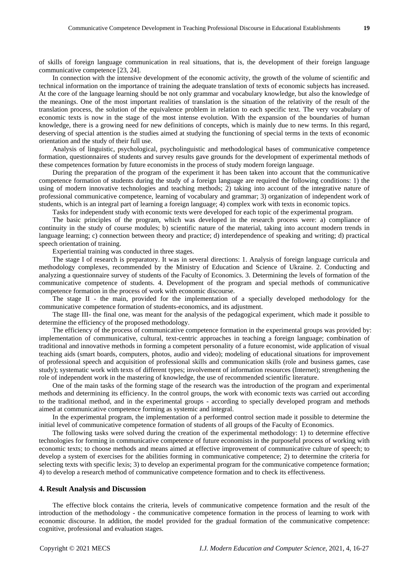of skills of foreign language communication in real situations, that is, the development of their foreign language communicative competence [23, 24].

In connection with the intensive development of the economic activity, the growth of the volume of scientific and technical information on the importance of training the adequate translation of texts of economic subjects has increased. At the core of the language learning should be not only grammar and vocabulary knowledge, but also the knowledge of the meanings. One of the most important realities of translation is the situation of the relativity of the result of the translation process, the solution of the equivalence problem in relation to each specific text. The very vocabulary of economic texts is now in the stage of the most intense evolution. With the expansion of the boundaries of human knowledge, there is a growing need for new definitions of concepts, which is mainly due to new terms. In this regard, deserving of special attention is the studies aimed at studying the functioning of special terms in the texts of economic orientation and the study of their full use.

Analysis of linguistic, psychological, psycholinguistic and methodological bases of communicative competence formation, questionnaires of students and survey results gave grounds for the development of experimental methods of these competences formation by future economists in the process of study modern foreign language.

During the preparation of the program of the experiment it has been taken into account that the communicative competence formation of students during the study of a foreign language are required the following conditions: 1) the using of modern innovative technologies and teaching methods; 2) taking into account of the integrative nature of professional communicative competence, learning of vocabulary and grammar; 3) organization of independent work of students, which is an integral part of learning a foreign language; 4) complex work with texts in economic topics.

Tasks for independent study with economic texts were developed for each topic of the experimental program.

The basic principles of the program, which was developed in the research process were: a) compliance of continuity in the study of course modules; b) scientific nature of the material, taking into account modern trends in language learning; c) connection between theory and practice; d) interdependence of speaking and writing; d) practical speech orientation of training.

Experiential training was conducted in three stages.

The stage I of research is preparatory. It was in several directions: 1. Analysis of [foreign](https://context.reverso.net/%D0%BF%D0%B5%D1%80%D0%B5%D0%B2%D0%BE%D0%B4/%D0%B0%D0%BD%D0%B3%D0%BB%D0%B8%D0%B9%D1%81%D0%BA%D0%B8%D0%B9-%D1%80%D1%83%D1%81%D1%81%D0%BA%D0%B8%D0%B9/foreign) language curricula and methodology complexes, recommended by the Ministry of Education and Science of Ukraine. 2. Conducting and analyzing a questionnaire survey of students of the Faculty of Economics. 3. Determining the levels of formation of the communicative competence of students. 4. Development of the program and special methods of communicative competence formation in the process of work with economic discourse.

The stage II - the main, provided for the implementation of a specially developed methodology for the communicative competence formation of students-economics, and its adjustment.

The stage III- the final one, was meant for the analysis of the pedagogical experiment, which made it possible to determine the efficiency of the proposed methodology.

The efficiency of the process of communicative competence formation in the experimental groups was provided by: implementation of communicative, cultural, text-centric approaches in teaching a foreign language; combination of traditional and innovative methods in forming a competent personality of a future economist, wide application of visual teaching aids (smart boards, computers, photos, audio and video); modeling of educational situations for improvement of professional speech and acquisition of professional skills and communication skills (role and business games, case study); systematic work with texts of different types; involvement of information resources (Internet); strengthening the role of independent work in the mastering of knowledge, the use of recommended scientific literature.

One of the main tasks of the forming stage of the research was the introduction of the program and experimental methods and determining its efficiency. In the control groups, the work with economic texts was carried out according to the traditional method, and in the experimental groups - according to specially developed program and methods aimed at communicative competence forming as systemic and integral.

In the experimental program, the implementation of a performed control section made it possible to determine the initial level of communicative competence formation of students of all groups of the Faculty of Economics.

The following tasks were solved during the creation of the experimental methodology: 1) to determine effective technologies for forming in communicative competence of future economists in the purposeful process of working with economic texts; to choose methods and means aimed at effective improvement of communicative culture of speech; to develop a system of exercises for the abilities forming in communicative competence; 2) to determine the criteria for selecting texts with specific lexis; 3) to develop an experimental program for the communicative competence formation; 4) to develop a research method of communicative competence formation and to check its effectiveness.

#### **4. Result Analysis and Discussion**

The effective block contains the criteria, levels of communicative competence formation and the result of the introduction of the methodology - the communicative competence formation in the process of learning to work with economic discourse. In addition, the model provided for the gradual formation of the communicative competence: cognitive, professional and evaluation stages.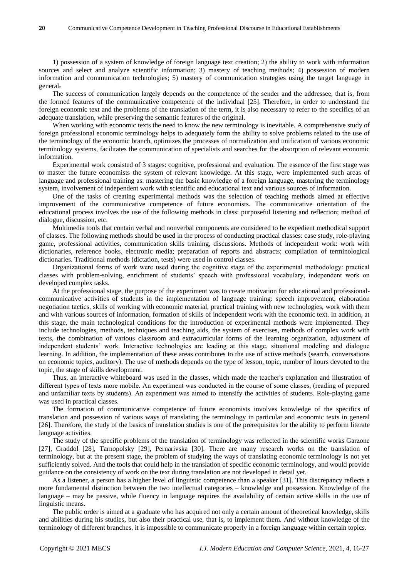1) possession of a system of knowledge of foreign language text creation; 2) the ability to work with information sources and select and analyze scientific information; 3) mastery of teaching methods; 4) possession of modern information and communication technologies; 5) mastery of communication strategies using the target language in general.

The success of communication largely depends on the competence of the sender and the addressee, that is, from the formed features of the communicative competence of the individual [25]. Therefore, in order to understand the foreign economic text and the problems of the translation of the term, it is also necessary to refer to the specifics of an adequate translation, while preserving the semantic features of the original.

When working with economic texts the need to know the new terminology is inevitable. A comprehensive study of foreign professional economic terminology helps to adequately form the ability to solve problems related to the use of the terminology of the economic branch, optimizes the processes of normalization and unification of various economic terminology systems, facilitates the communication of specialists and searches for the absorption of relevant economic information.

Experimental work consisted of 3 stages: cognitive, professional and evaluation. The essence of the first stage was to master the future economists the system of relevant knowledge. At this stage, were implemented such areas of language and professional training as: mastering the basic knowledge of a foreign language, mastering the terminology system, involvement of independent work with scientific and educational text and various sources of information.

One of the tasks of creating experimental methods was the selection of teaching methods aimed at effective improvement of the communicative competence of future economists. The communicative orientation of the educational process involves the use of the following methods in class: purposeful listening and reflection; method of dialogue, discussion, etc.

Multimedia tools that contain verbal and nonverbal components are considered to be expedient methodical support of classes. The following methods should be used in the process of conducting practical classes: case study, [role-playing](https://context.reverso.net/%D0%BF%D0%B5%D1%80%D0%B5%D0%B2%D0%BE%D0%B4/%D0%B0%D0%BD%D0%B3%D0%BB%D0%B8%D0%B9%D1%81%D0%BA%D0%B8%D0%B9-%D1%80%D1%83%D1%81%D1%81%D0%BA%D0%B8%D0%B9/role-playing+game)  [game,](https://context.reverso.net/%D0%BF%D0%B5%D1%80%D0%B5%D0%B2%D0%BE%D0%B4/%D0%B0%D0%BD%D0%B3%D0%BB%D0%B8%D0%B9%D1%81%D0%BA%D0%B8%D0%B9-%D1%80%D1%83%D1%81%D1%81%D0%BA%D0%B8%D0%B9/role-playing+game) professional activities, communication skills training, discussions. Methods of independent work: work with dictionaries, reference books, electronic media; preparation of reports and abstracts; compilation of terminological dictionaries. Traditional methods (dictation, tests) were used in control classes.

Оrganizational forms of work were used during the cognitive stage of the experimental methodology: practical classes with problem-solving, enrichment of students" speech with professional vocabulary, independent work on developed complex tasks.

At the professional stage, the purpose of the experiment was to create motivation for educational and professionalcommunicative activities of students in the implementation of language training: speech improvement, elaboration negotiation [tactics,](https://context.reverso.net/%D0%BF%D0%B5%D1%80%D0%B5%D0%B2%D0%BE%D0%B4/%D0%B0%D0%BD%D0%B3%D0%BB%D0%B8%D0%B9%D1%81%D0%BA%D0%B8%D0%B9-%D1%80%D1%83%D1%81%D1%81%D0%BA%D0%B8%D0%B9/tactics) skills of working with economic material, practical training with new technologies, work with them and with various sources of information, formation of skills of independent work with the economic text. In addition, at this stage, the main technological conditions for the introduction of experimental methods were implemented. They include technologies, methods, techniques and teaching aids, the system of exercises, methods of complex work with texts, the combination of various classroom and extracurricular forms of the learning organization, adjustment of independent students" work. Interactive technologies are leading at this stage, situational modeling and dialogue learning. In addition, the implementation of these areas contributes to the use of active methods (search, conversations on economic topics, auditory). The use of methods depends on the type of lesson, topic, number of hours devoted to the topic, the stage of skills development.

Thus, an interactive whiteboard was used in the classes, which made the teacher's explanation and illustration of different types of texts more mobile. Аn experiment was conducted іn the course of some classes, (reading of prepared and unfamiliar texts by students). Аn experiment was aimed to intensify the activities of students. Role-playing game was used in practical classes.

The formation of communicative competence of future economists involves knowledge of the specifics of translation and possession of various ways of translating the terminology in particular and economic texts in general [26]. Therefore, the study of the basics of translation studies is one of the prerequisites for the ability to perform literate language activities.

The study of the specific problems of the translation of terminology was reflected in the scientific works Garzone [27], Graddol [28], Tarnopolsky [29], Pernarivska [30]. There are many research works on the translation of terminology, but at the present stage, the problem of studying the ways of translating economic terminology is not yet sufficiently solved. And the tools that could help in the translation of specific economic terminology, and would provide guidance on the consistency of work on the text during translation are not developed in detail yet.

As a listener, a person has a higher level of linguistic competence than a speaker [31]. This discrepancy reflects a more fundamental distinction between the two intellectual categories – knowledge and possession. Knowledge of the language – may be passive, while fluency in language requires the availability of certain active skills in the use of linguistic means.

The public order is aimed at a graduate who has acquired not only a certain amount of theoretical knowledge, skills and abilities during his studies, but also their practical use, that is, to implement them. And without knowledge of the terminology of different branches, it is impossible to communicate properly in a foreign language within certain topics.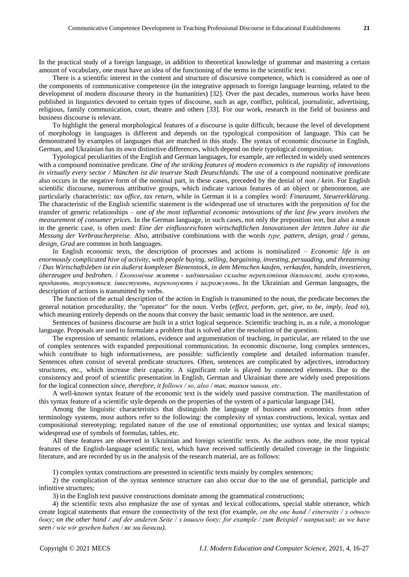In the practical study of a foreign language, in addition to theoretical knowledge of grammar and mastering a certain amount of vocabulary, one must have an idea of the functioning of the terms in the scientific text.

There is a scientific interest in the content and structure of discursive competence, which is considered as one of the components of communicative competence (in the integrative approach to foreign language learning, related to the development of modern discourse theory in the humanities) [32]. Over the past decades, numerous works have been published in linguistics devoted to certain types of discourse, such as age, conflict, political, journalistic, advertising, religious, family communication, court, theatre and others [33]. For our work, research in the field of business and business discourse is relevant.

To highlight the general morphological features of a discourse is quite difficult, because the level of development of morphology in languages is different and depends on the typological composition of language. This can be demonstrated by examples of languages that are matched in this study. The syntax of economic discourse in English, German, and Ukrainian has its own distinctive differences, which depend on their typological composition.

Typological peculiarities of the English and German languages, for example, are reflected in widely used sentences with a compound nominative predicate. *One of the striking features of modern economics is the rapidity of innovations in virtually every sector / München ist die teuerste Stadt Deutschlands*. The use of a compound nominative predicate also occurs in the negative form of the nominal part, in these cases, preceded by the denial of *non / kein*. For English scientific discourse, numerous attributive groups, which indicate various features of an object or phenomenon, are particularly characteristic: *tax office, tax return*, while in German it is a complex word: *Finanzamt, Steuererklärung*. The characteristic of the English scientific statement is the widespread use of structures with the preposition *of* for the transfer of generic relationships – *one of the most influential economic innovations of the last few years involves the measurement of consumer prices.* In the German language, in such cases, not only the preposition *von*, but also a noun in the generic case, is often used: *Eine der einflussreichsten wirtschaftlichen Innovationen der letzten Jahre ist die Messung der Verbraucherpreise.* Also, attributive combinations with the words *tуре, pattern, design, grad / genau, design, Grad* are common in both languages.

In English economic texts, the description of processes and actions is nominalized – *Economic life is an enormously complicated hive of activity, with people buying, selling, bargaining, investing, persuading, and threatening*  / *Das Wirtschaftsleben ist ein äußerst komplexer Bienenstock, in dem Menschen kaufen, verkaufen, handeln, investieren, überzeugen und bedrohen.* / *Економічне життя - надзвичайно складне переплітіння діяльності, люди купують, продають, торгуються, інвестують, переконують і загрожують*. In the Ukrainian and German languages, the description of actions is transmitted by verbs.

The function of the actual description of the action in English is transmitted to the noun, the predicate becomes the general notation procedurality, the "operator" for the noun. Verbs (*effect, perform, get, give, to be, imply, lead to*), which meaning entirely depends on the nouns that convey the basic semantic load in the sentence, are used.

Sentences of business discourse are built in a strict logical sequence. Scientific teaching is, as a rule, a monologue language. Proposals are used to formulate a problem that is solved after the resolution of the question.

The expression of semantic relations, evidence and argumentation of teaching, in particular, are related to the use of complex sentences with expanded prepositional communication. In economic discourse, long complex sentences, which contribute to high informativeness, are possible: sufficiently complete and detailed information transfer. Sentences often consist of several predicate structures. Often, sentences are complicated by adjectives, introductory structures, etc., which increase their capacity. A significant role is played by connected elements. Due to the consistency and proof of scientific presentation in English, German and Ukrainian there are widely used prepositions for the logical connection *since, therefore, it follows / so, also / так, таким чином, etc*.

A well-known syntax feature of the economic text is the widely used passive construction. The manifestation of this syntax feature of a scientific style depends on the properties of the system of a particular language [34].

Among the linguistic characteristics that distinguish the language of business and economics from other terminology systems, most authors refer to the following: the complexity of syntax constructions, lexical, syntax and compositional stereotyping; regulated nature of the use of emotional opportunities; use syntax and lexical stamps; widespread use of symbols of formulas, tables, etc.

All these features are observed in Ukrainian and foreign scientific texts. As the authors note, the most typical features of the English-language scientific text, which have received sufficiently detailed coverage in the linguistic literature, and are recorded by us in the analysis of the research material, are as follows:

1) complex syntax constructions are presented in scientific texts mainly by complex sentences;

2) the complication of the syntax sentence structure can also occur due to the use of gerundial, participle and infinitive structures;

3) in the English text passive constructions dominate among the grammatical constructions;

4) the scientific texts also emphasize the use of syntax and lexical collocations, special stable utterance, which create logical statements that ensure the connectivity of the text (for example, *оп the one hand / einerseits / з одного боку; on the other hand / auf der anderen Seite / з іншого боку; for example / zum Beispiel / наприклад; as we have seen / wie wir gesehen haben / як ми бачили).*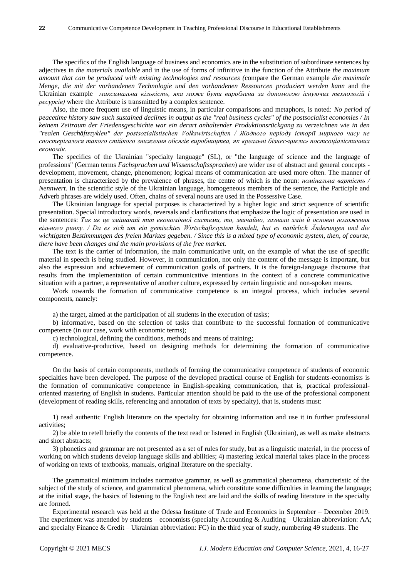The specifics of the English language of business and economics are in the substitution of subordinate sentences by adjectives in *the materials available* and in the use of forms of infinitive in the function of the Attribute *the maximum amount that can be produced with existing technologies and resources (*compare the German example *die maximale Menge, die mit der vorhandenen Technologie und den vorhandenen Ressourcen produziert werden kann* and the Ukrainian example *максимальна кількість, яка може бути вироблена за допомогою існуючих технологій і ресурсів)* where the Attribute is transmitted by a complex sentence.

Also, the more frequent use of linguistic means, in particular comparisons and metaphors, is noted: *No period of peacetime history saw such sustained declines in output as the "real business cycles" of the postsocialist economies / In keinem Zeitraum der Friedensgeschichte war ein derart anhaltender Produktionsrückgang zu verzeichnen wie in den "realen Geschäftszyklen" der postsozialistischen Volkswirtschaften / Жодного періоду історії мирного часу не спостерігалося такого стійкого зниження обсягів виробництва, як «реальні бізнес-цикли» постсоціалістичних економік.* 

The specifics of the Ukrainian "specialty language" (SL), or "the language of science and the language of professions" (German terms *Fachsprachen und Wissenschaftssprachen*) are wider use of abstract and general concepts development, movement, change, phenomenon; logical means of communication are used more often. The manner of presentation is characterized by the prevalence of phrases, the centre of which is the noun: *номінальна вартість / Nennwert*. In the scientific style of the Ukrainian language, homogeneous members of the sentence, the Participle and Adverb phrases are widely used. Often, chains of several nouns are used in the Possessive Case.

The Ukrainian language for special purposes is characterized by a higher logic and strict sequence of scientific presentation. Special introductory words, reversals and clarifications that emphasize the logic of presentation are used in the sentences: *Так як це змішаний тип економічної системи, то, звичайно, зазнали змін й основні положення вільного ринку. / Da es sich um ein gemischtes Wirtschaftssystem handelt, hat es natürlich Änderungen und die wichtigsten Bestimmungen des freien Marktes gegeben. / Since this is a mixed type of economic system, then, of course, there have been changes and the main provisions of the free market.*

The text is the carrier of information, the main communicative unit, on the example of what the use of specific material in speech is being studied. However, in communication, not only the content of the message is important, but also the expression and achievement of communication goals of partners. It is the foreign-language discourse that results from the implementation of certain communicative intentions in the context of a concrete communicative situation with a partner, a representative of another culture, expressed by certain linguistic and non-spoken means.

Work towards the formation of communicative competence is an integral process, which includes several components, namely:

a) the target, aimed at the participation of all students in the execution of tasks;

b) informative, based on the selection of tasks that contribute to the successful formation of communicative competence (in our case, work with economic terms);

c) technological, defining the conditions, methods and means of training;

d) evaluative-productive, based on designing methods for determining the formation of communicative competence.

On the basis of certain components, methods of forming the communicative competence of students of economic specialties have been developed. The purpose of the developed practical course of English for students-economists is the formation of communicative competence in English-speaking communication, that is, practical professionaloriented mastering of English in students. Particular attention should be paid to the use of the professional component (development of reading skills, referencing and annotation of texts by specialty), that is, students must:

1) read authentic English literature on the specialty for obtaining information and use it in further professional activities;

2) be able to retell briefly the contents of the text read or listened in English (Ukrainian), as well as make abstracts and short abstracts;

3) phonetics and grammar are not presented as a set of rules for study, but as a linguistic material, in the process of working on which students develop language skills and abilities; 4) mastering lexical material takes place in the process of working on texts of textbooks, manuals, original literature on the specialty.

The grammatical minimum includes normative grammar, as well as grammatical phenomena, characteristic of the subject of the study of science, and grammatical phenomena, which constitute some difficulties in learning the language; at the initial stage, the basics of listening to the English text are laid and the skills of reading literature in the specialty are formed.

Experimental research was held at the Odessa Institute of Trade and Economics in September – December 2019. The experiment was attended by students – economists (specialty Accounting  $\&$  Auditing – Ukrainian abbreviation: AA; and specialty Finance & Credit – Ukrainian abbreviation: FC) in the third year of study, numbering 49 students. The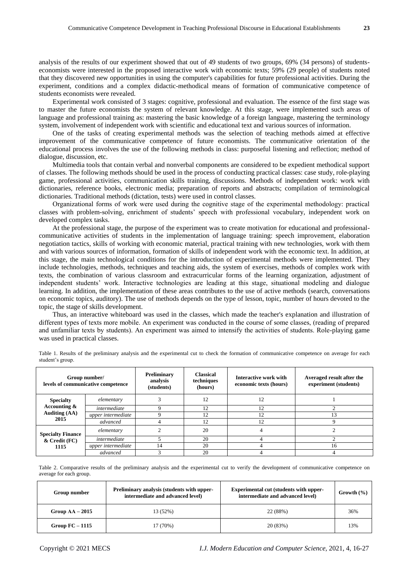analysis of the results of our experiment showed that out of 49 students of two groups, 69% (34 persons) of studentseconomists were interested in the proposed interactive work with economic texts; 59% (29 people) of students noted that they discovered new opportunities in using the computer's capabilities for future professional activities. During the experiment, conditions and a complex didactic-methodical means of formation of communicative competence of students economists were revealed.

Experimental work consisted of 3 stages: cognitive, professional and evaluation. The essence of the first stage was to master the future economists the system of relevant knowledge. At this stage, were implemented such areas of language and professional training as: mastering the basic knowledge of a foreign language, mastering the terminology system, involvement of independent work with scientific and educational text and various sources of information.

One of the tasks of creating experimental methods was the selection of teaching methods aimed at effective improvement of the communicative competence of future economists. The communicative orientation of the educational process involves the use of the following methods in class: purposeful listening and reflection; method of dialogue, discussion, etc.

Multimedia tools that contain verbal and nonverbal components are considered to be expedient methodical support of classes. The following methods should be used in the process of conducting practical classes: case study, [role-playing](https://context.reverso.net/%D0%BF%D0%B5%D1%80%D0%B5%D0%B2%D0%BE%D0%B4/%D0%B0%D0%BD%D0%B3%D0%BB%D0%B8%D0%B9%D1%81%D0%BA%D0%B8%D0%B9-%D1%80%D1%83%D1%81%D1%81%D0%BA%D0%B8%D0%B9/role-playing+game)  [game,](https://context.reverso.net/%D0%BF%D0%B5%D1%80%D0%B5%D0%B2%D0%BE%D0%B4/%D0%B0%D0%BD%D0%B3%D0%BB%D0%B8%D0%B9%D1%81%D0%BA%D0%B8%D0%B9-%D1%80%D1%83%D1%81%D1%81%D0%BA%D0%B8%D0%B9/role-playing+game) professional activities, communication skills training, discussions. Methods of independent work: work with dictionaries, reference books, electronic media; preparation of reports and abstracts; compilation of terminological dictionaries. Traditional methods (dictation, tests) were used in control classes.

Оrganizational forms of work were used during the cognitive stage of the experimental methodology: practical classes with problem-solving, enrichment of students" speech with professional vocabulary, independent work on developed complex tasks.

At the professional stage, the purpose of the experiment was to create motivation for educational and professionalcommunicative activities of students in the implementation of language training: speech improvement, elaboration negotiation [tactics,](https://context.reverso.net/%D0%BF%D0%B5%D1%80%D0%B5%D0%B2%D0%BE%D0%B4/%D0%B0%D0%BD%D0%B3%D0%BB%D0%B8%D0%B9%D1%81%D0%BA%D0%B8%D0%B9-%D1%80%D1%83%D1%81%D1%81%D0%BA%D0%B8%D0%B9/tactics) skills of working with economic material, practical training with new technologies, work with them and with various sources of information, formation of skills of independent work with the economic text. In addition, at this stage, the main technological conditions for the introduction of experimental methods were implemented. They include technologies, methods, techniques and teaching aids, the system of exercises, methods of complex work with texts, the combination of various classroom and extracurricular forms of the learning organization, adjustment of independent students" work. Interactive technologies are leading at this stage, situational modeling and dialogue learning. In addition, the implementation of these areas contributes to the use of active methods (search, conversations on economic topics, auditory). The use of methods depends on the type of lesson, topic, number of hours devoted to the topic, the stage of skills development.

Thus, an interactive whiteboard was used in the classes, which made the teacher's explanation and illustration of different types of texts more mobile. Аn experiment was conducted іn the course of some classes, (reading of prepared and unfamiliar texts by students). Аn experiment was aimed to intensify the activities of students. Role-playing game was used in practical classes.

|                                                                     | Group number/<br>levels of communicative competence | <b>Preliminary</b><br>analysis<br>(students) | <b>Classical</b><br>techniques<br>(hours) | Interactive work with<br>economic texts (hours) | Averaged result after the<br>experiment (students) |
|---------------------------------------------------------------------|-----------------------------------------------------|----------------------------------------------|-------------------------------------------|-------------------------------------------------|----------------------------------------------------|
| <b>Specialty</b><br>Accounting $\&$<br><b>Auditing (AA)</b><br>2015 | elementary                                          |                                              | 12                                        | 12                                              |                                                    |
|                                                                     | intermediate                                        |                                              | 12                                        | 12                                              |                                                    |
|                                                                     | upper intermediate                                  |                                              | 12                                        | 12                                              | 13                                                 |
|                                                                     | advanced                                            |                                              | 12                                        | 12                                              |                                                    |
| <b>Specialty Finance</b><br>$&$ Credit (FC)<br>1115                 | elementary                                          |                                              | 20                                        |                                                 |                                                    |
|                                                                     | intermediate                                        |                                              | 20                                        |                                                 |                                                    |
|                                                                     | upper intermediate                                  | 14                                           | 20                                        |                                                 | 16                                                 |
|                                                                     | advanced                                            |                                              | 20                                        |                                                 |                                                    |

Table 1. Results of the preliminary analysis and the experimental cut to check the formation of communicative competence on average for each student"s group.

Table 2. Comparative results of the preliminary analysis and the experimental cut to verify the development of communicative competence on average for each group.

| Group number      | Preliminary analysis (students with upper-<br>intermediate and advanced level) | <b>Experimental cut (students with upper-</b><br>intermediate and advanced level) | Growth $(\% )$ |
|-------------------|--------------------------------------------------------------------------------|-----------------------------------------------------------------------------------|----------------|
| Group $AA - 2015$ | 13 (52%)                                                                       | 22 (88%)                                                                          | 36%            |
| Group $FC-1115$   | 17 (70%)                                                                       | 20 (83%)                                                                          | 13%            |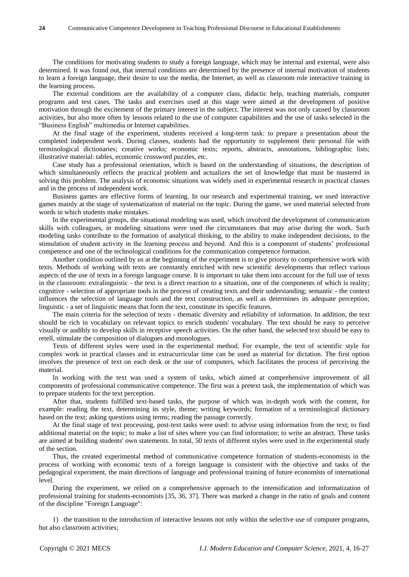The conditions for motivating students to study a foreign language, which may be internal and external, were also determined. It was found out, that internal conditions are determined by the presence of internal motivation of students to learn a foreign language, their desire to use the media, the Internet, as well as classroom role interactive training in the learning process.

The external conditions are the availability of a computer class, didactic help, teaching materials, computer programs and test cases. The tasks and exercises used at this stage were aimed at the development of positive motivation through the excitement of the primary interest in the subject. The interest was not only caused by classroom activities, but also more often by lessons related to the use of computer capabilities and the use of tasks selected in the "Business English" multimedia or Internet capabilities.

At the final stage of the experiment, students received a long-term task: to prepare a presentation about the completed independent work. During classes, students had the opportunity to supplement their personal file with terminological dictionaries; creative works; economic texts; reports, abstracts, annotations, bibliographic lists; illustrative material: tables, economic crossword puzzles, etc.

Case study has a professional orientation, which is based on the understanding of situations, the description of which simultaneously reflects the practical problem and actualizes the set of knowledge that must be mastered in solving this problem. The analysis of economic situations was widely used in experimental research in practical classes and in the process of independent work.

Business games are effective forms of learning. In our research and experimental training, we used interactive games mainly at the stage of systematization of material on the topic. During the game, we used material selected from words in which students make mistakes.

In the experimental groups, the situational modeling was used, which involved the development of communication skills with colleagues, in modeling situations were used the circumstances that may arise during the work. Such modeling tasks contribute to the formation of analytical thinking, to the ability to make independent decisions, to the stimulation of student activity in the learning process and beyond. And this is a component of students" professional competence and one of the technological conditions for the communication competence formation.

Another condition outlined by us at the beginning of the experiment is to give priority to comprehensive work with texts. Methods of working with texts are constantly enriched with new scientific developments that reflect various aspects of the use of texts in a foreign language course. It is important to take them into account for the full use of texts in the classroom: extralinguistic - the text is a direct reaction to a situation, one of the components of which is reality; cognitive - selection of appropriate tools in the process of creating texts and their understanding; semantic - the context influences the selection of language tools and the text construction, as well as determines its adequate perception; linguistic - a set of linguistic means that form the text, constitute its [specific features.](https://context.reverso.net/%D0%BF%D0%B5%D1%80%D0%B5%D0%B2%D0%BE%D0%B4/%D0%B0%D0%BD%D0%B3%D0%BB%D0%B8%D0%B9%D1%81%D0%BA%D0%B8%D0%B9-%D1%80%D1%83%D1%81%D1%81%D0%BA%D0%B8%D0%B9/its+specific+features)

The main criteria for the selection of texts - thematic diversity and reliability of information. In addition, the text should be rich in vocabulary on relevant topics to enrich students' vocabulary. The text should be easy to perceive visually or audibly to develop skills in receptive speech activities. On the other hand, the selected text should be easy to retell, stimulate the composition of dialogues and monologues.

Texts of different styles were used in the experimental method. For example, the text of scientific style for complex work in practical classes and in extracurricular time can be used as material for dictation. The first option involves the presence of text on each desk or the use of computers, which facilitates the process of perceiving the material.

In working with the text was used a system of tasks, which aimed at comprehensive improvement of all components of professional communicative competence. The first was a pretext task, the implementation of which was to prepare students for the text perception.

After that, students fulfilled text-based tasks, the purpose of which was in-depth work with the content, for example: reading the text, determining its style, theme; writing keywords; formation of a terminological dictionary based on the text; asking questions using terms; reading the passage correctly.

At the final stage of text processing, post-text tasks were used: to advise using information from the text; to find additional material on the topic; to make a list of sites where you can find information; to write an abstract. These tasks are aimed at building students' own statements. In total, 50 texts of different styles were used in the experimental study of the section.

Thus, the created experimental method of communicative competence formation of students-economists in the process of working with economic texts of a foreign language is consistent with the objective and tasks of the pedagogical experiment, the main directions of language and professional training of future economists of international level.

During the experiment, we relied on a comprehensive approach to the intensification and informatization of professional training for students-economists [35, 36, 37]. There was marked a change in the ratio of goals and content of the discipline "Foreign Language":

1) the transition to the introduction of interactive lessons not only within the selective use of computer programs, but also classroom activities;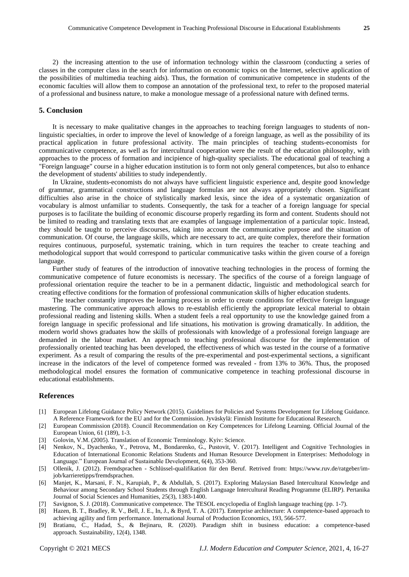2) the increasing attention to the use of information technology within the classroom (conducting a series of classes in the computer class in the search for information on economic topics on the Internet, selective application of the possibilities of multimedia teaching aids). Thus, the formation of communicative competence in students of the economic faculties will allow them to compose an annotation of the professional text, to refer to the proposed material of a professional and business nature, to make a monologue message of a professional nature with defined terms.

#### **5. Conclusion**

It is necessary to make qualitative changes in the approaches to teaching foreign languages to students of nonlinguistic specialties, in order to improve the level of knowledge of a foreign language, as well as the possibility of its practical application in future professional activity. The main principles of teaching students-economists for communicative competence, as well as for intercultural cooperation were the result of the education philosophy, with approaches to the process of formation and incipience of high-quality specialists. The educational goal of teaching a "Foreign language" course in a higher education institution is to form not only general competences, but also to enhance the development of students' abilities to study independently.

In Ukraine, students-economists do not always have sufficient linguistic experience and, despite good knowledge of grammar, grammatical constructions and language formulas are not always appropriately chosen. Significant difficulties also arise in the choice of stylistically marked lexis, since the idea of a systematic organization of vocabulary is almost unfamiliar to students. Consequently, the task for a teacher of a foreign language for special purposes is to facilitate the building of economic discourse properly regarding its form and content. Students should not be limited to reading and translating texts that are examples of language implementation of a particular topic. Instead, they should be taught to perceive discourses, taking into account the communicative purpose and the situation of communication. Of course, the language skills, which are necessary to act, are quite complex, therefore their formation requires continuous, purposeful, systematic training, which in turn requires the teacher to create teaching and methodological support that would correspond to particular communicative tasks within the given course of a foreign language.

Further study of features of the introduction of innovative teaching technologies in the process of forming the communicative competence of future economists is necessary. The specifics of the course of a foreign language of professional orientation require the teacher to be in a permanent didactic, linguistic and methodological search for creating effective conditions for the formation of professional communication skills of higher education students.

The teacher constantly improves the learning process in order to create conditions for effective foreign language mastering. The communicative approach allows to re-establish efficiently the appropriate lexical material to obtain professional reading and listening skills. When a student feels a real opportunity to use the knowledge gained from a foreign language in specific professional and life situations, his motivation is growing dramatically. In addition, the modern world shows graduates how the skills of professionals with knowledge of a professional foreign language are demanded in the labour market. An approach to teaching professional discourse for the implementation of professionally oriented teaching has been developed, the effectiveness of which was tested in the course of a formative experiment. As a result of comparing the results of the pre-experimental and post-experimental sections, a significant increase in the indicators of the level of competence formed was revealed - from 13% to 36%. Thus, the proposed methodological model ensures the formation of communicative competence in teaching professional discourse in educational establishments.

#### **References**

- [1] European Lifelong Guidance Policy Network (2015). Guidelines for Policies and Systems Development for Lifelong Guidance. A Reference Framework for the EU and for the Commission. Jyväskylä: Finnish Institutte for Educational Research.
- [2] European Commission (2018). Council Recommendation on Key Competences for Lifelong Learning. Official Journal of the European Union, 61 (189), 1-3.
- [3] Golovin, V.M. (2005). Translation of Economic Terminology. Kyiv: Science.
- [4] Nenkov, N., Dyachenko, Y., Petrova, M., Bondarenko, G., Pustovit, V. (2017). Intelligent and Cognitive Technologies in Education of International Economic Relations Students and Human Resource Development in Enterprises: Methodology in Language." European Journal of Sustainable Development, 6(4), 353-360.
- [5] Ollenik, J. (2012). Fremdsprachen Schlüssel-qualifikation für den Beruf. Retrived from: https://www.ruv.de/ratgeber/imjob/karrieretipps/fremdsprachen.
- [6] Manjet, K., Marsani, F. N., Karupiah, P., & Abdullah, S. (2017). Exploring Malaysian Based Intercultural Knowledge and Behaviour among Secondary School Students through English Language Intercultural Reading Programme (ELIRP). Pertanika Journal of Social Sciences and Humanities, 25(3), 1383-1400.
- [7] Savignon, S. J. (2018). Communicative competence. The TESOL encyclopedia of English language teaching (pp. 1-7).
- [8] Hazen, B. T., Bradley, R. V., Bell, J. E., In, J., & Byrd, T. A. (2017). Enterprise architecture: A competence-based approach to achieving agility and firm performance. International Journal of Production Economics, 193, 566-577.
- [9] Bratianu, C., Hadad, S., & Bejinaru, R. (2020). Paradigm shift in business education: a competence-based approach. Sustainability, 12(4), 1348.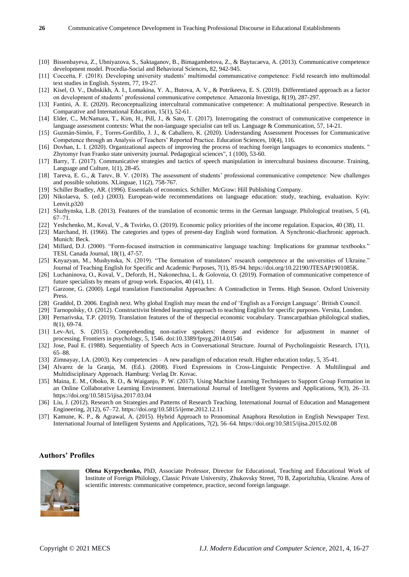- [10] Bissenbayeva, Z., Ubniyazova, S., Saktaganov, B., Bimagambetova, Z., & Baytucaeva, A. (2013). Communicative competence development model. Procedia-Social and Behavioral Sciences, 82, 942-945.
- [11] Coccetta, F. (2018). Developing university students" multimodal communicative competence: Field research into multimodal text studies in English. System, 77, 19-27.
- [12] Kisel, O. V., Dubskikh, A. I., Lomakina, Y. A., Butova, A. V., & Potrikeeva, E. S. (2019). Differentiated approach as a factor on development of students" professional communicative competence. Amazonia Investiga, 8(19), 287-297.
- [13] Fantini, A. E. (2020). Reconceptualizing intercultural communicative competence: A multinational perspective. Research in Comparative and International Education, 15(1), 52-61.
- [14] Elder, C., McNamara, T., Kim, H., Pill, J., & Sato, T. (2017). Interrogating the construct of communicative competence in language assessment contexts: What the non-language specialist can tell us. Language & Communication, 57, 14-21.
- [15] Guzmán-Simón, F., Torres-Gordillo, J. J., & Caballero, K. (2020). Understanding Assessment Processes for Communicative Competence through an Analysis of Teachers" Reported Practice. Education Sciences, 10(4), 116.
- [16] Dovhan, L. I. (2020). Organizational aspects of improving the process of teaching foreign languages to economics students. " Zhytomyr Ivan Franko state university journal. Pedagogical sciences", 1 (100), 53-60.
- [17] Barry, T. (2017). Communicative strategies and tactics of speech manipulation in intercultural business discourse. Training, Language and Culture, 1(1), 28-45.
- [18] Tareva, E. G., & Tarev, B. V. (2018). The assessment of students" professional communicative competence: New challenges and possible solutions. XLinguae, 11(2), 758-767.
- [19] Schiller Bradley, AR. (1996). Essentials of economics. Schiller. McGraw: Hill Publishing Company.
- [20] Nikolaeva, S. (ed.) (2003). European-wide recommendations on language education: study, teaching, evaluation. Kyiv: Lenvit.p320
- [21] Sluzhynska, L.B. (2013). Features of the translation of economic terms in the German language. Philological treatises, 5 (4), 67–71.
- [22] Yeshchenko, M., Koval, V., & Tsvirko, O. (2019). Economic policy priorities of the income regulation. Espacios, 40 (38), 11.
- [23] Marchand, H. (1966). The categories and types of present-day English word formation. A Synchronic-diachronic approach. Munich: Beck.
- [24] Millard, D.J. (2000). "Form-focused instruction in communicative language teaching: Implications for grammar textbooks." TESL Canada Journal, 18(1), 47-57.
- [25] Knyazyan, M., Mushynska, N. (2019). "The formation of translators" research competence at the universities of Ukraine." Journal of Teaching English for Specific and Academic Purposes, 7(1), 85-94. https://doi.org/10.22190/JTESAP1901085K.
- [26] Luchaninova, O., Koval, V., Deforzh, H., Nakonechna, L. & Golovnia, O. (2019). Formation of communicative competence of future specialists by means of group work. Espacios, 40 (41), 11.
- [27] Garzone, G. (2000). Legal translation Functionalist Approaches: A Contradiction in Terms. High Season. Oxford University Press.
- [28] Graddol, D. 2006. English next. Why global English may mean the end of "English as a Foreign Language". British Council.
- [29] Tarnopolsky, O. (2012). Constructivist blended learning approach to teaching English for specific purposes. Versita, London. [30] Pernarivska, T.P. (2019). Translation features of the of thespecial economic vocabulary. Transcarpathian philological studies, 8(1), 69-74.
- [31] Lev-Ari, S. (2015). Comprehending non-native speakers: theory and evidence for adjustment in manner of processing. Frontiers in psychology, 5, 1546. doi:10.3389/fpsyg.2014.01546
- [32] Jose, Paul E. (1988). Sequentiality of Speech Acts in Conversational Structure. Journal of Psycholinguistic Research, 17(1), 65–88.
- [33] Zimnayay, I.A. (2003). Key competencies A new paradigm of education result. Higher education today, 5, 35-41.
- [34] Alvarez de la Granja, M. (Ed.). (2008). Fixed Expressions in Cross-Linguistic Perspective. A Multilingual and Multidisciplinary Approach. Hamburg: Verlag Dr. Kovac.
- [35] Maina, E. M., Oboko, R. O., & Waiganjo, P. W. (2017). Using Machine Learning Techniques to Support Group Formation in an Online Collaborative Learning Environment. International Journal of Intelligent Systems and Applications, 9(3), 26–33. https://doi.org/10.5815/ijisa.2017.03.04
- [36] Liu, J. (2012). Research on Strategies and Patterns of Research Teaching. International Journal of Education and Management Engineering, 2(12), 67–72. https://doi.org/10.5815/ijeme.2012.12.11
- [37] Kamune, K. P., & Agrawal, A. (2015). Hybrid Approach to Pronominal Anaphora Resolution in English Newspaper Text. International Journal of Intelligent Systems and Applications, 7(2), 56–64. https://doi.org/10.5815/ijisa.2015.02.08

### **Authors' Profiles**



**Olena Kyrpychenko,** PhD, Associate Professor, Director for Educational, Teaching and Educational Work of Institute of Foreign Philology, Classic Private University, Zhukovsky Street, 70 B, Zaporizhzhia, Ukraine. Area of scientific interests: communicative competence, practice, second foreign language.